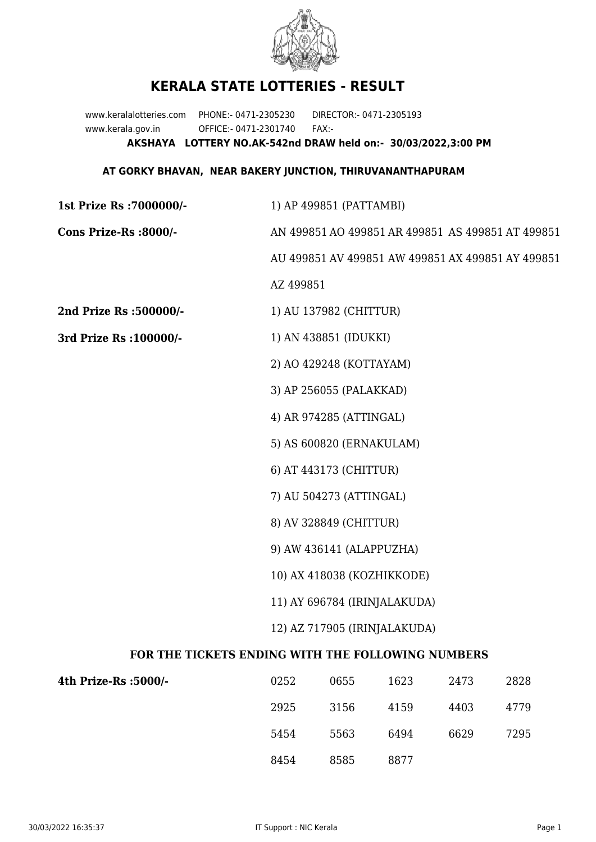

## **KERALA STATE LOTTERIES - RESULT**

www.keralalotteries.com PHONE:- 0471-2305230 DIRECTOR:- 0471-2305193 www.kerala.gov.in OFFICE:- 0471-2301740 FAX:- **AKSHAYA LOTTERY NO.AK-542nd DRAW held on:- 30/03/2022,3:00 PM**

## **AT GORKY BHAVAN, NEAR BAKERY JUNCTION, THIRUVANANTHAPURAM**

| 1st Prize Rs : 7000000/-                          | 1) AP 499851 (PATTAMBI)                                                                    |                        |      |      |      |  |  |
|---------------------------------------------------|--------------------------------------------------------------------------------------------|------------------------|------|------|------|--|--|
| Cons Prize-Rs :8000/-                             | AN 499851 AO 499851 AR 499851 AS 499851 AT 499851                                          |                        |      |      |      |  |  |
|                                                   | AU 499851 AV 499851 AW 499851 AX 499851 AY 499851                                          |                        |      |      |      |  |  |
|                                                   | AZ 499851                                                                                  |                        |      |      |      |  |  |
| 2nd Prize Rs :500000/-                            |                                                                                            | 1) AU 137982 (CHITTUR) |      |      |      |  |  |
| 3rd Prize Rs : 100000/-                           | 1) AN 438851 (IDUKKI)                                                                      |                        |      |      |      |  |  |
|                                                   | 2) AO 429248 (KOTTAYAM)                                                                    |                        |      |      |      |  |  |
|                                                   | 3) AP 256055 (PALAKKAD)                                                                    |                        |      |      |      |  |  |
|                                                   | 4) AR 974285 (ATTINGAL)                                                                    |                        |      |      |      |  |  |
|                                                   | 5) AS 600820 (ERNAKULAM)                                                                   |                        |      |      |      |  |  |
|                                                   | 6) AT 443173 (CHITTUR)                                                                     |                        |      |      |      |  |  |
|                                                   | 7) AU 504273 (ATTINGAL)                                                                    |                        |      |      |      |  |  |
|                                                   | 8) AV 328849 (CHITTUR)                                                                     |                        |      |      |      |  |  |
|                                                   | 9) AW 436141 (ALAPPUZHA)                                                                   |                        |      |      |      |  |  |
|                                                   | 10) AX 418038 (KOZHIKKODE)<br>11) AY 696784 (IRINJALAKUDA)<br>12) AZ 717905 (IRINJALAKUDA) |                        |      |      |      |  |  |
|                                                   |                                                                                            |                        |      |      |      |  |  |
|                                                   |                                                                                            |                        |      |      |      |  |  |
| FOR THE TICKETS ENDING WITH THE FOLLOWING NUMBERS |                                                                                            |                        |      |      |      |  |  |
| 4th Prize-Rs :5000/-                              | 0252                                                                                       | 0655                   | 1623 | 2473 | 2828 |  |  |
|                                                   | 2925                                                                                       | 3156                   | 4159 | 4403 | 4779 |  |  |

8454 8585 8877

5454 5563 6494 6629 7295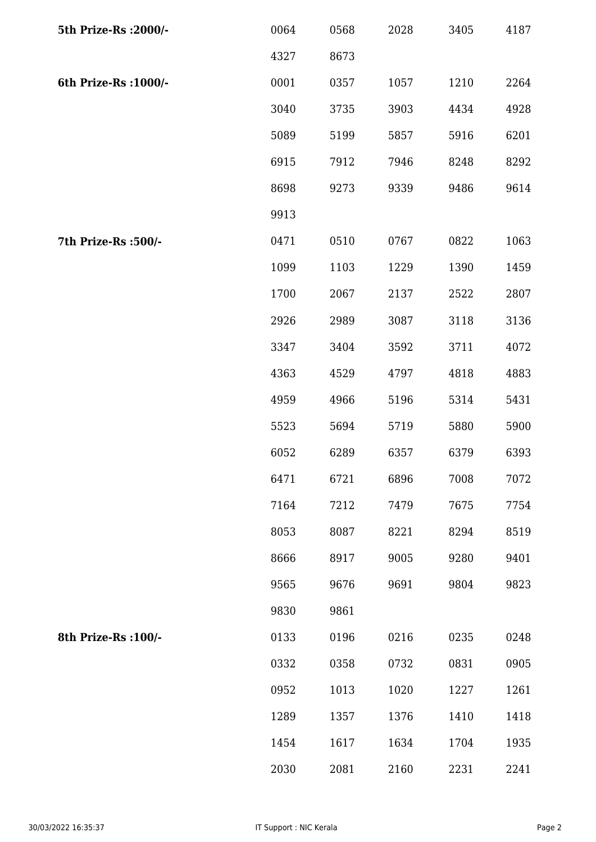| 5th Prize-Rs : 2000/- | 0064 | 0568 | 2028 | 3405 | 4187 |
|-----------------------|------|------|------|------|------|
|                       | 4327 | 8673 |      |      |      |
| 6th Prize-Rs : 1000/- | 0001 | 0357 | 1057 | 1210 | 2264 |
|                       | 3040 | 3735 | 3903 | 4434 | 4928 |
|                       | 5089 | 5199 | 5857 | 5916 | 6201 |
|                       | 6915 | 7912 | 7946 | 8248 | 8292 |
|                       | 8698 | 9273 | 9339 | 9486 | 9614 |
|                       | 9913 |      |      |      |      |
| 7th Prize-Rs : 500/-  | 0471 | 0510 | 0767 | 0822 | 1063 |
|                       | 1099 | 1103 | 1229 | 1390 | 1459 |
|                       | 1700 | 2067 | 2137 | 2522 | 2807 |
|                       | 2926 | 2989 | 3087 | 3118 | 3136 |
|                       | 3347 | 3404 | 3592 | 3711 | 4072 |
|                       | 4363 | 4529 | 4797 | 4818 | 4883 |
|                       | 4959 | 4966 | 5196 | 5314 | 5431 |
|                       | 5523 | 5694 | 5719 | 5880 | 5900 |
|                       | 6052 | 6289 | 6357 | 6379 | 6393 |
|                       | 6471 | 6721 | 6896 | 7008 | 7072 |
|                       | 7164 | 7212 | 7479 | 7675 | 7754 |
|                       | 8053 | 8087 | 8221 | 8294 | 8519 |
|                       | 8666 | 8917 | 9005 | 9280 | 9401 |
|                       | 9565 | 9676 | 9691 | 9804 | 9823 |
|                       | 9830 | 9861 |      |      |      |
| 8th Prize-Rs : 100/-  | 0133 | 0196 | 0216 | 0235 | 0248 |
|                       | 0332 | 0358 | 0732 | 0831 | 0905 |
|                       | 0952 | 1013 | 1020 | 1227 | 1261 |
|                       | 1289 | 1357 | 1376 | 1410 | 1418 |
|                       | 1454 | 1617 | 1634 | 1704 | 1935 |
|                       | 2030 | 2081 | 2160 | 2231 | 2241 |